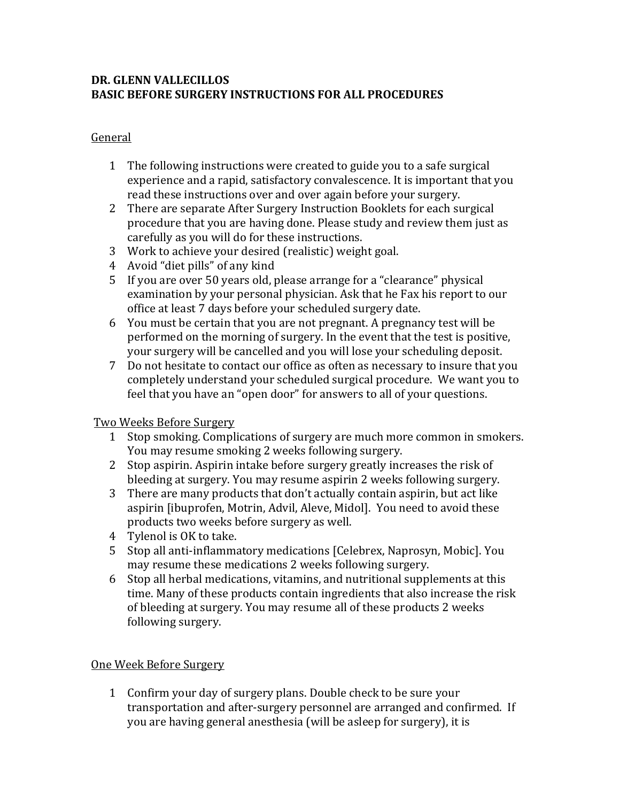### **DR. GLENN VALLECILLOS BASIC BEFORE SURGERY INSTRUCTIONS FOR ALL PROCEDURES**

### General

- 1 The following instructions were created to guide you to a safe surgical experience and a rapid, satisfactory convalescence. It is important that you read these instructions over and over again before your surgery.
- 2 There are separate After Surgery Instruction Booklets for each surgical procedure that you are having done. Please study and review them just as carefully as you will do for these instructions.
- 3 Work to achieve your desired (realistic) weight goal.
- 4 Avoid "diet pills" of any kind
- 5 If you are over 50 years old, please arrange for a "clearance" physical examination by your personal physician. Ask that he Fax his report to our office at least 7 days before your scheduled surgery date.
- 6 You must be certain that you are not pregnant. A pregnancy test will be performed on the morning of surgery. In the event that the test is positive, your surgery will be cancelled and you will lose your scheduling deposit.
- 7 Do not hesitate to contact our office as often as necessary to insure that you completely understand your scheduled surgical procedure. We want you to feel that you have an "open door" for answers to all of your questions.

Two Weeks Before Surgery

- 1 Stop smoking. Complications of surgery are much more common in smokers. You may resume smoking 2 weeks following surgery.
- 2 Stop aspirin. Aspirin intake before surgery greatly increases the risk of bleeding at surgery. You may resume aspirin 2 weeks following surgery.
- 3 There are many products that don't actually contain aspirin, but act like aspirin [ibuprofen, Motrin, Advil, Aleve, Midol]. You need to avoid these products two weeks before surgery as well.
- 4 Tylenol is OK to take.
- 5 Stop all anti-inflammatory medications [Celebrex, Naprosyn, Mobic]. You may resume these medications 2 weeks following surgery.
- 6 Stop all herbal medications, vitamins, and nutritional supplements at this time. Many of these products contain ingredients that also increase the risk of bleeding at surgery. You may resume all of these products 2 weeks following surgery.

## One Week Before Surgery

1 Confirm your day of surgery plans. Double check to be sure your transportation and after-surgery personnel are arranged and confirmed. If you are having general anesthesia (will be asleep for surgery), it is